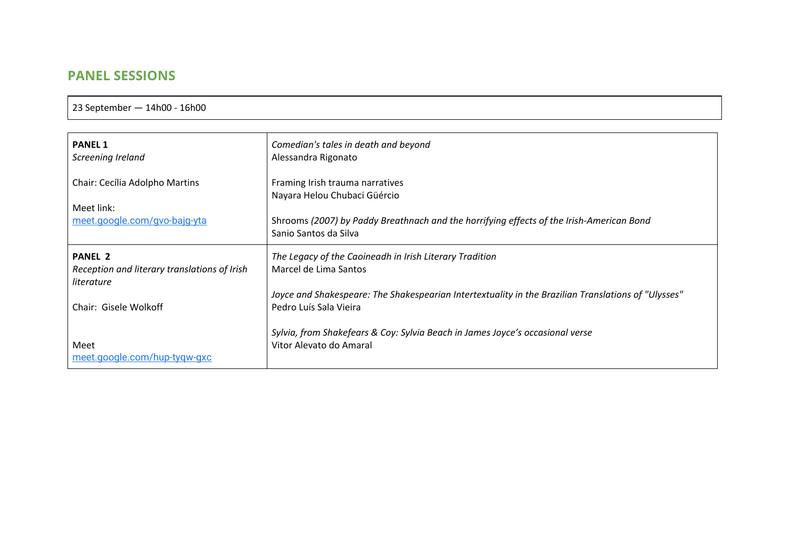## **PANEL SESSIONS**

23 September — 14h00 - 16h00

| <b>PANEL 1</b>                                                               | Comedian's tales in death and beyond                                                                                                                                                 |
|------------------------------------------------------------------------------|--------------------------------------------------------------------------------------------------------------------------------------------------------------------------------------|
| Screening Ireland                                                            | Alessandra Rigonato                                                                                                                                                                  |
| Chair: Cecília Adolpho Martins<br>Meet link:<br>meet.google.com/gvo-bajq-yta | Framing Irish trauma narratives<br>Nayara Helou Chubaci Güércio<br>Shrooms (2007) by Paddy Breathnach and the horrifying effects of the Irish-American Bond<br>Sanio Santos da Silva |
| <b>PANEL 2</b>                                                               | The Legacy of the Caoineadh in Irish Literary Tradition                                                                                                                              |
| Reception and literary translations of Irish                                 | Marcel de Lima Santos                                                                                                                                                                |
| literature                                                                   | Joyce and Shakespeare: The Shakespearian Intertextuality in the Brazilian Translations of "Ulysses"                                                                                  |
| Chair: Gisele Wolkoff                                                        | Pedro Luís Sala Vieira                                                                                                                                                               |
| Meet                                                                         | Sylvia, from Shakefears & Coy: Sylvia Beach in James Joyce's occasional verse                                                                                                        |
| meet.google.com/hup-tygw-gxc                                                 | Vitor Alevato do Amaral                                                                                                                                                              |